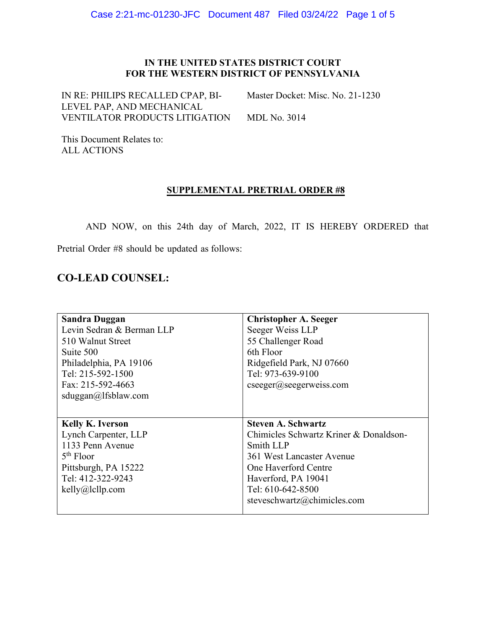#### **IN THE UNITED STATES DISTRICT COURT FOR THE WESTERN DISTRICT OF PENNSYLVANIA**

IN RE: PHILIPS RECALLED CPAP, BI-LEVEL PAP, AND MECHANICAL VENTILATOR PRODUCTS LITIGATION MDL No. 3014

Master Docket: Misc. No. 21-1230

This Document Relates to: ALL ACTIONS

#### **SUPPLEMENTAL PRETRIAL ORDER #8**

AND NOW, on this 24th day of March, 2022, IT IS HEREBY ORDERED that

Pretrial Order #8 should be updated as follows:

### **CO-LEAD COUNSEL:**

| <b>Sandra Duggan</b>      | <b>Christopher A. Seeger</b>           |
|---------------------------|----------------------------------------|
| Levin Sedran & Berman LLP | Seeger Weiss LLP                       |
| 510 Walnut Street         | 55 Challenger Road                     |
| Suite 500                 | 6th Floor                              |
| Philadelphia, PA 19106    | Ridgefield Park, NJ 07660              |
| Tel: 215-592-1500         | Tel: 973-639-9100                      |
| Fax: 215-592-4663         | $c\sec\theta$ gerweiss.com             |
| sduggan@lfsblaw.com       |                                        |
|                           |                                        |
| <b>Kelly K. Iverson</b>   | <b>Steven A. Schwartz</b>              |
| Lynch Carpenter, LLP      | Chimicles Schwartz Kriner & Donaldson- |
| 1133 Penn Avenue          | Smith LLP                              |
| $5th$ Floor               | 361 West Lancaster Avenue              |
| Pittsburgh, PA 15222      | One Haverford Centre                   |
| Tel: 412-322-9243         | Haverford, PA 19041                    |
| kelly@lcllp.com           | Tel: 610-642-8500                      |
|                           | steveschwartz@chimicles.com            |
|                           |                                        |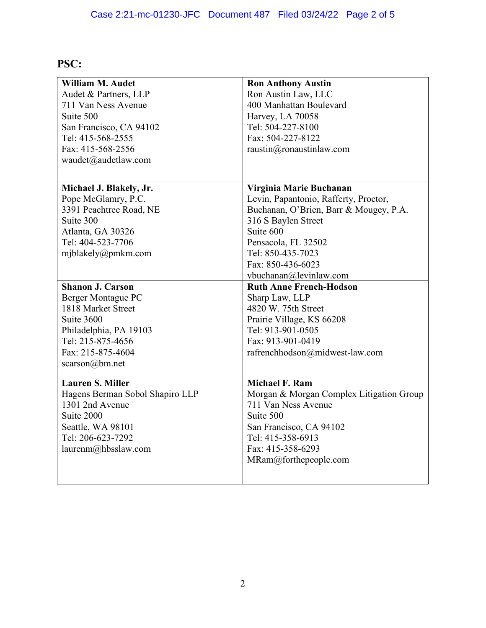# **PSC:**

| William M. Audet                                   | <b>Ron Anthony Austin</b>                    |
|----------------------------------------------------|----------------------------------------------|
| Audet & Partners, LLP                              | Ron Austin Law, LLC                          |
| 711 Van Ness Avenue                                | 400 Manhattan Boulevard                      |
| Suite 500                                          | Harvey, LA 70058                             |
| San Francisco, CA 94102                            | Tel: 504-227-8100                            |
| Tel: 415-568-2555                                  | Fax: 504-227-8122                            |
| Fax: 415-568-2556                                  | raustin@ronaustinlaw.com                     |
| waudet@audetlaw.com                                |                                              |
|                                                    |                                              |
| Michael J. Blakely, Jr.                            | Virginia Marie Buchanan                      |
| Pope McGlamry, P.C.                                | Levin, Papantonio, Rafferty, Proctor,        |
| 3391 Peachtree Road, NE                            | Buchanan, O'Brien, Barr & Mougey, P.A.       |
| Suite 300                                          | 316 S Baylen Street                          |
| Atlanta, GA 30326                                  | Suite 600                                    |
| Tel: 404-523-7706                                  | Pensacola, FL 32502                          |
| mjblakely@pmkm.com                                 | Tel: 850-435-7023                            |
|                                                    | Fax: 850-436-6023                            |
|                                                    | vbuchanan@levinlaw.com                       |
|                                                    |                                              |
| <b>Shanon J. Carson</b>                            | <b>Ruth Anne French-Hodson</b>               |
| Berger Montague PC                                 | Sharp Law, LLP                               |
| 1818 Market Street                                 | 4820 W. 75th Street                          |
| Suite 3600                                         | Prairie Village, KS 66208                    |
| Philadelphia, PA 19103                             | Tel: 913-901-0505                            |
| Tel: 215-875-4656                                  | Fax: 913-901-0419                            |
| Fax: 215-875-4604                                  | rafrenchhodson@midwest-law.com               |
| scarson@bm.net                                     |                                              |
| <b>Lauren S. Miller</b>                            | <b>Michael F. Ram</b>                        |
|                                                    | Morgan & Morgan Complex Litigation Group     |
| Hagens Berman Sobol Shapiro LLP<br>1301 2nd Avenue | 711 Van Ness Avenue                          |
| Suite 2000                                         | Suite 500                                    |
| Seattle, WA 98101                                  |                                              |
| Tel: 206-623-7292                                  | San Francisco, CA 94102<br>Tel: 415-358-6913 |
| laurenm@hbsslaw.com                                | Fax: 415-358-6293                            |
|                                                    | MRam@forthepeople.com                        |
|                                                    |                                              |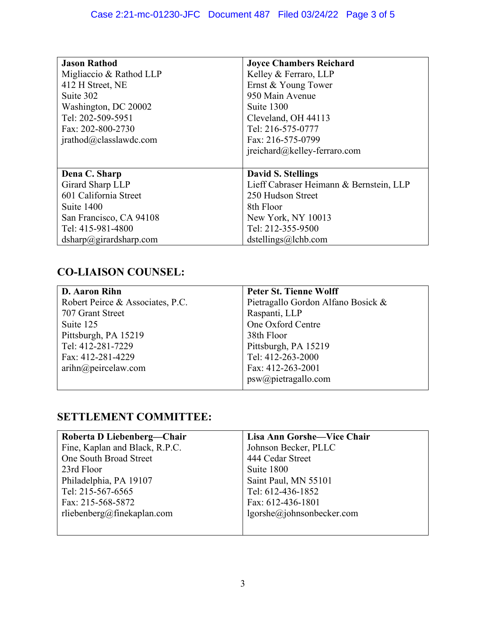| <b>Jason Rathod</b>     | <b>Joyce Chambers Reichard</b>          |
|-------------------------|-----------------------------------------|
| Migliaccio & Rathod LLP | Kelley & Ferraro, LLP                   |
| 412 H Street, NE        | Ernst & Young Tower                     |
| Suite 302               | 950 Main Avenue                         |
| Washington, DC 20002    | Suite 1300                              |
| Tel: 202-509-5951       | Cleveland, OH 44113                     |
| Fax: 202-800-2730       | Tel: 216-575-0777                       |
| jrathod@classlawdc.com  | Fax: 216-575-0799                       |
|                         | jreichard@kelley-ferraro.com            |
|                         |                                         |
| Dena C. Sharp           | <b>David S. Stellings</b>               |
| Girard Sharp LLP        | Lieff Cabraser Heimann & Bernstein, LLP |
| 601 California Street   | 250 Hudson Street                       |
| Suite 1400              | 8th Floor                               |
| San Francisco, CA 94108 | New York, NY 10013                      |
| Tel: 415-981-4800       | Tel: 212-355-9500                       |
| dsharp@girardsharp.com  | dstellings@lchb.com                     |

# **CO-LIAISON COUNSEL:**

| <b>D.</b> Aaron Rihn             | Peter St. Tienne Wolff             |
|----------------------------------|------------------------------------|
| Robert Peirce & Associates, P.C. | Pietragallo Gordon Alfano Bosick & |
| 707 Grant Street                 | Raspanti, LLP                      |
| Suite 125                        | One Oxford Centre                  |
| Pittsburgh, PA 15219             | 38th Floor                         |
| Tel: 412-281-7229                | Pittsburgh, PA 15219               |
| Fax: 412-281-4229                | Tel: 412-263-2000                  |
| $arihn(\omega)$ peircelaw.com    | Fax: 412-263-2001                  |
|                                  | psw@pietragallo.com                |

## **SETTLEMENT COMMITTEE:**

| Roberta D Liebenberg-Chair     | Lisa Ann Gorshe-Vice Chair |
|--------------------------------|----------------------------|
| Fine, Kaplan and Black, R.P.C. | Johnson Becker, PLLC       |
| One South Broad Street         | 444 Cedar Street           |
| 23rd Floor                     | Suite 1800                 |
| Philadelphia, PA 19107         | Saint Paul, MN 55101       |
| Tel: 215-567-6565              | Tel: 612-436-1852          |
| Fax: 215-568-5872              | Fax: 612-436-1801          |
| rliebenberg@finekaplan.com     | lgorshe@johnsonbecker.com  |
|                                |                            |
|                                |                            |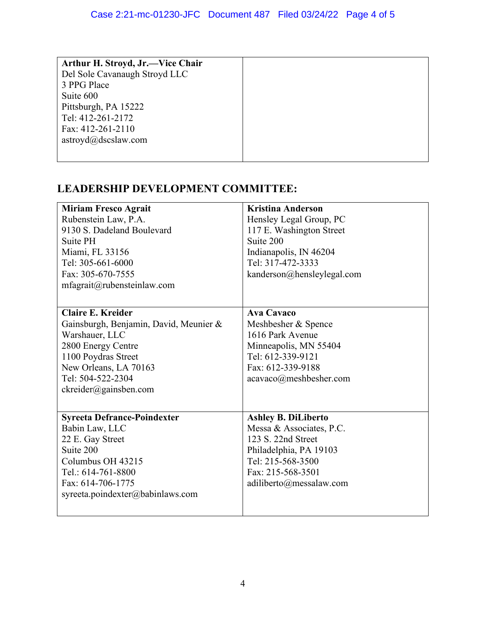| Arthur H. Stroyd, Jr.—Vice Chair |  |
|----------------------------------|--|
| Del Sole Cavanaugh Stroyd LLC    |  |
| 3 PPG Place                      |  |
| Suite 600                        |  |
| Pittsburgh, PA 15222             |  |
| Tel: 412-261-2172                |  |
| Fax: 412-261-2110                |  |
| astroyd@dscslaw.com              |  |
|                                  |  |
|                                  |  |

### **LEADERSHIP DEVELOPMENT COMMITTEE:**

| <b>Miriam Fresco Agrait</b>            | <b>Kristina Anderson</b>   |
|----------------------------------------|----------------------------|
| Rubenstein Law, P.A.                   | Hensley Legal Group, PC    |
| 9130 S. Dadeland Boulevard             | 117 E. Washington Street   |
| Suite PH                               | Suite 200                  |
| Miami, FL 33156                        | Indianapolis, IN 46204     |
| Tel: 305-661-6000                      | Tel: 317-472-3333          |
| Fax: 305-670-7555                      | kanderson@hensleylegal.com |
| mfagrait@rubensteinlaw.com             |                            |
|                                        |                            |
| <b>Claire E. Kreider</b>               | <b>Ava Cavaco</b>          |
| Gainsburgh, Benjamin, David, Meunier & | Meshbesher & Spence        |
| Warshauer, LLC                         | 1616 Park Avenue           |
| 2800 Energy Centre                     | Minneapolis, MN 55404      |
| 1100 Poydras Street                    | Tel: 612-339-9121          |
| New Orleans, LA 70163                  | Fax: 612-339-9188          |
| Tel: 504-522-2304                      | acavaco@meshbesher.com     |
| ckreider@gainsben.com                  |                            |
|                                        |                            |
| <b>Syreeta Defrance-Poindexter</b>     | <b>Ashley B. DiLiberto</b> |
| Babin Law, LLC                         | Messa & Associates, P.C.   |
| 22 E. Gay Street                       | 123 S. 22nd Street         |
| Suite 200                              | Philadelphia, PA 19103     |
| Columbus OH 43215                      | Tel: 215-568-3500          |
| Tel.: 614-761-8800                     | Fax: 215-568-3501          |
| Fax: 614-706-1775                      | adiliberto@messalaw.com    |
| syreeta.poindexter@babinlaws.com       |                            |
|                                        |                            |